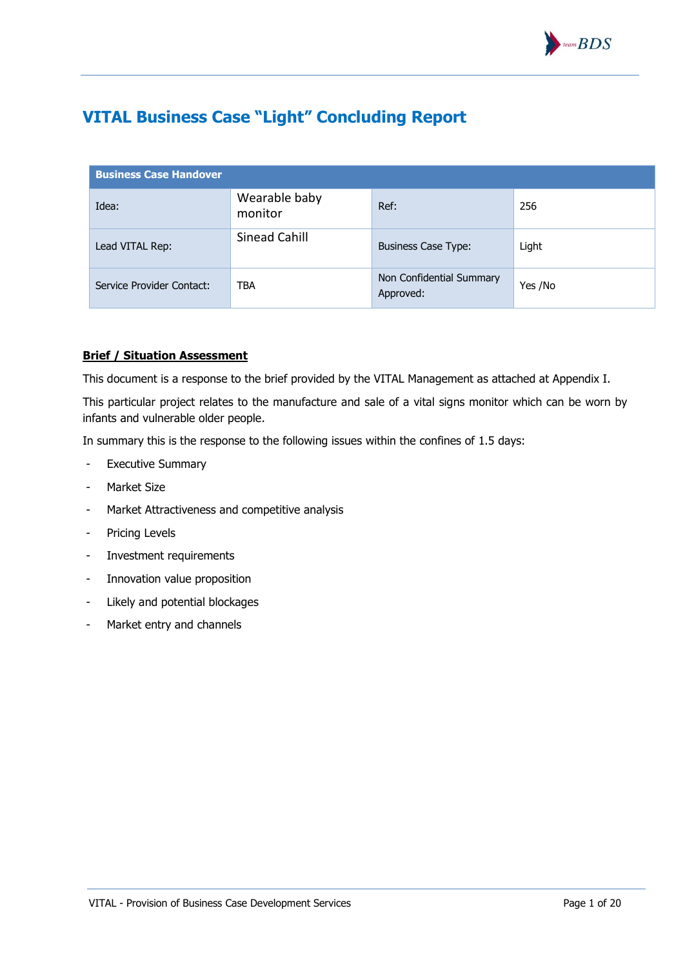

# **VITAL Business Case "Light" Concluding Report**

| <b>Business Case Handover</b> |                          |                                       |         |
|-------------------------------|--------------------------|---------------------------------------|---------|
| Idea:                         | Wearable baby<br>monitor | Ref:                                  | 256     |
| Lead VITAL Rep:               | Sinead Cahill            | <b>Business Case Type:</b>            | Light   |
| Service Provider Contact:     | <b>TBA</b>               | Non Confidential Summary<br>Approved: | Yes /No |

#### **Brief / Situation Assessment**

This document is a response to the brief provided by the VITAL Management as attached at Appendix I.

This particular project relates to the manufacture and sale of a vital signs monitor which can be worn by infants and vulnerable older people.

In summary this is the response to the following issues within the confines of 1.5 days:

- Executive Summary
- Market Size
- Market Attractiveness and competitive analysis
- Pricing Levels
- Investment requirements
- Innovation value proposition
- Likely and potential blockages
- Market entry and channels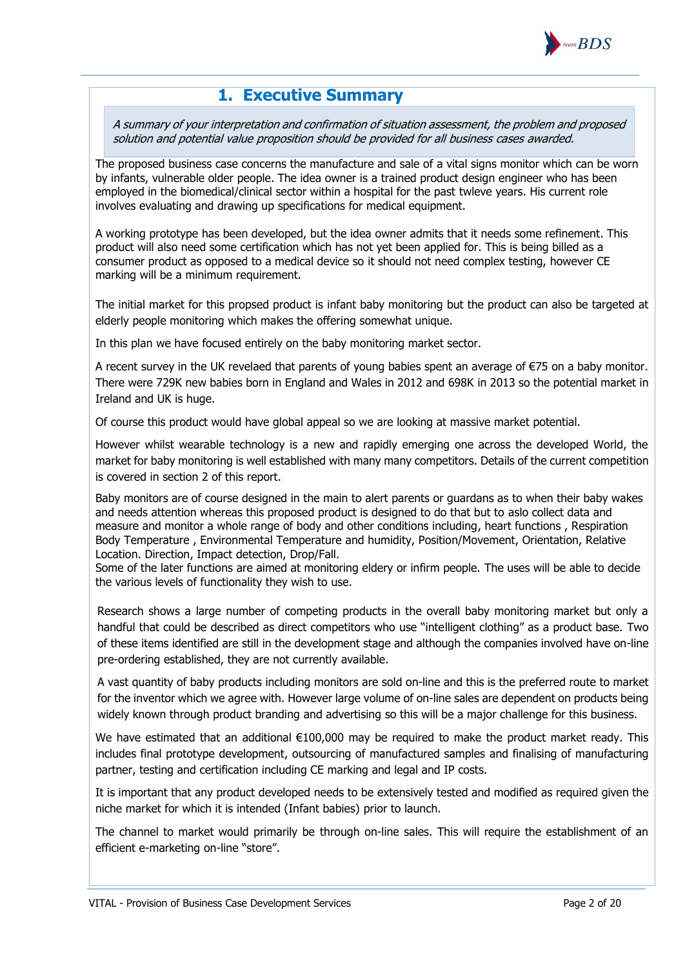

### **1. Executive Summary**

A summary of your interpretation and confirmation of situation assessment, the problem and proposed solution and potential value proposition should be provided for all business cases awarded.

The proposed business case concerns the manufacture and sale of a vital signs monitor which can be worn by infants, vulnerable older people. The idea owner is a trained product design engineer who has been employed in the biomedical/clinical sector within a hospital for the past twleve years. His current role involves evaluating and drawing up specifications for medical equipment.

A working prototype has been developed, but the idea owner admits that it needs some refinement. This product will also need some certification which has not yet been applied for. This is being billed as a consumer product as opposed to a medical device so it should not need complex testing, however CE marking will be a minimum requirement.

The initial market for this propsed product is infant baby monitoring but the product can also be targeted at elderly people monitoring which makes the offering somewhat unique.

In this plan we have focused entirely on the baby monitoring market sector.

A recent survey in the UK revelaed that parents of young babies spent an average of €75 on a baby monitor. There were 729K new babies born in England and Wales in 2012 and 698K in 2013 so the potential market in Ireland and UK is huge.

Of course this product would have global appeal so we are looking at massive market potential.

However whilst wearable technology is a new and rapidly emerging one across the developed World, the market for baby monitoring is well established with many many competitors. Details of the current competition is covered in section 2 of this report.

Baby monitors are of course designed in the main to alert parents or guardans as to when their baby wakes and needs attention whereas this proposed product is designed to do that but to aslo collect data and measure and monitor a whole range of body and other conditions including, heart functions , Respiration Body Temperature , Environmental Temperature and humidity, Position/Movement, Orientation, Relative Location. Direction, Impact detection, Drop/Fall.

Some of the later functions are aimed at monitoring eldery or infirm people. The uses will be able to decide the various levels of functionality they wish to use.

Research shows a large number of competing products in the overall baby monitoring market but only a handful that could be described as direct competitors who use "intelligent clothing" as a product base. Two of these items identified are still in the development stage and although the companies involved have on-line pre-ordering established, they are not currently available.

A vast quantity of baby products including monitors are sold on-line and this is the preferred route to market for the inventor which we agree with. However large volume of on-line sales are dependent on products being widely known through product branding and advertising so this will be a major challenge for this business.

We have estimated that an additional €100,000 may be required to make the product market ready. This includes final prototype development, outsourcing of manufactured samples and finalising of manufacturing partner, testing and certification including CE marking and legal and IP costs.

It is important that any product developed needs to be extensively tested and modified as required given the niche market for which it is intended (Infant babies) prior to launch.

The channel to market would primarily be through on-line sales. This will require the establishment of an efficient e-marketing on-line "store".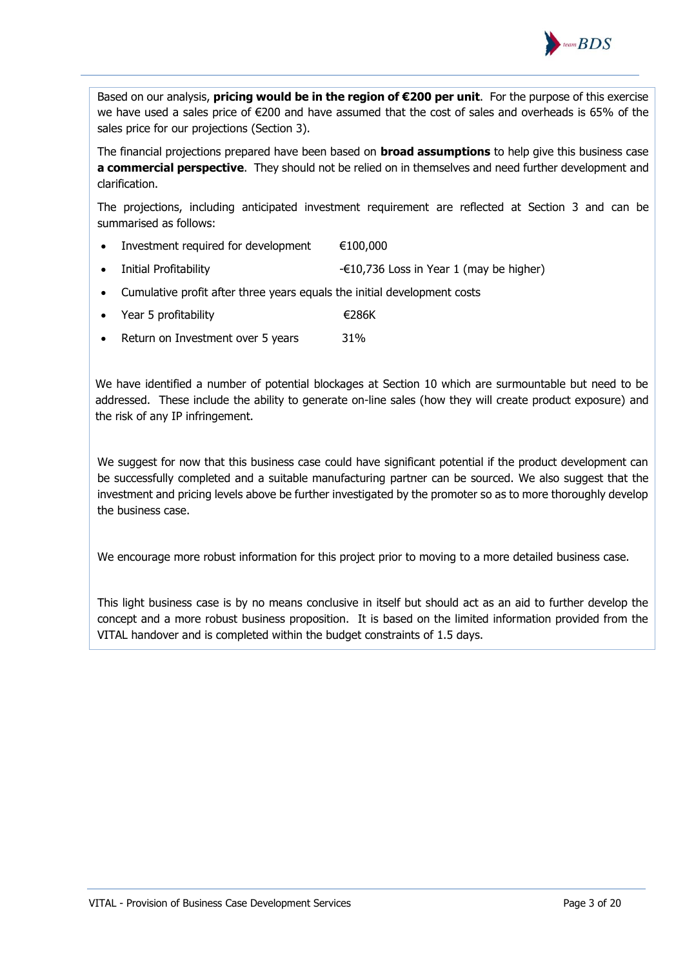

Based on our analysis, **pricing would be in the region of €200 per unit**. For the purpose of this exercise we have used a sales price of €200 and have assumed that the cost of sales and overheads is 65% of the sales price for our projections (Section 3).

The financial projections prepared have been based on **broad assumptions** to help give this business case **a commercial perspective**. They should not be relied on in themselves and need further development and clarification.

The projections, including anticipated investment requirement are reflected at Section 3 and can be summarised as follows:

- Investment required for development €100,000
- Initial Profitability  $-€10,736$  Loss in Year 1 (may be higher)
- Cumulative profit after three years equals the initial development costs
- Year 5 profitability €286K
- Return on Investment over 5 years 31%

We have identified a number of potential blockages at Section 10 which are surmountable but need to be addressed. These include the ability to generate on-line sales (how they will create product exposure) and the risk of any IP infringement.

We suggest for now that this business case could have significant potential if the product development can be successfully completed and a suitable manufacturing partner can be sourced. We also suggest that the investment and pricing levels above be further investigated by the promoter so as to more thoroughly develop the business case.

We encourage more robust information for this project prior to moving to a more detailed business case.

This light business case is by no means conclusive in itself but should act as an aid to further develop the concept and a more robust business proposition. It is based on the limited information provided from the VITAL handover and is completed within the budget constraints of 1.5 days.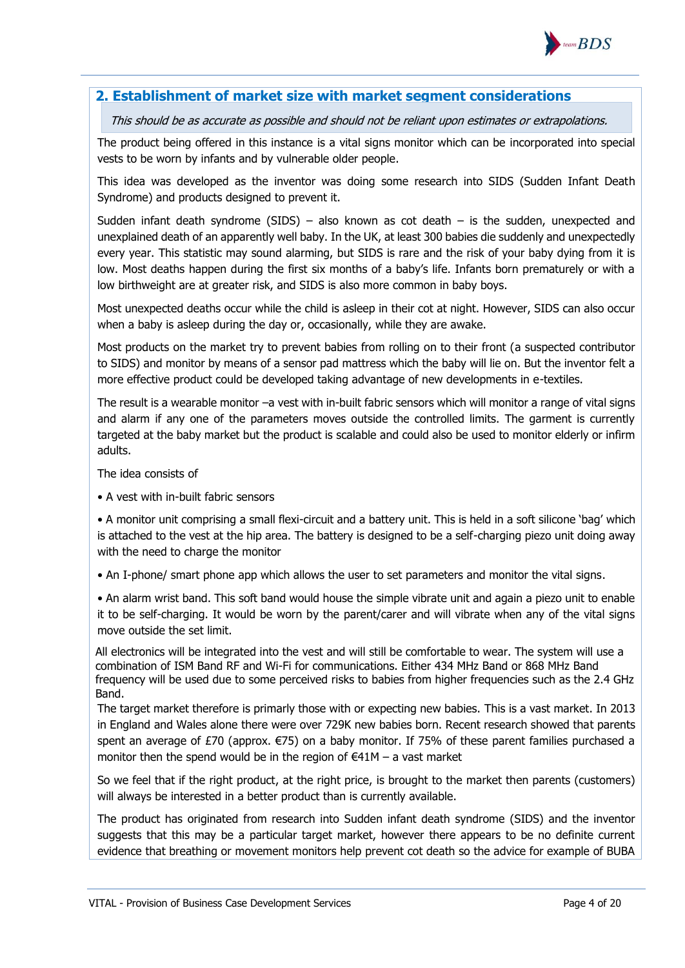

#### **2. Establishment of market size with market segment considerations**

#### This should be as accurate as possible and should not be reliant upon estimates or extrapolations.

The product being offered in this instance is a vital signs monitor which can be incorporated into special vests to be worn by infants and by vulnerable older people.

This idea was developed as the inventor was doing some research into SIDS (Sudden Infant Death Syndrome) and products designed to prevent it.

Sudden infant death syndrome (SIDS) – also known as cot death – is the sudden, unexpected and unexplained death of an apparently well baby. In the UK, at least 300 babies die suddenly and unexpectedly every year. This statistic may sound alarming, but SIDS is rare and the risk of your baby dying from it is low. Most deaths happen during the first six months of a baby's life. Infants born prematurely or with a low birthweight are at greater risk, and SIDS is also more common in baby boys.

Most unexpected deaths occur while the child is asleep in their cot at night. However, SIDS can also occur when a baby is asleep during the day or, occasionally, while they are awake.

Most products on the market try to prevent babies from rolling on to their front (a suspected contributor to SIDS) and monitor by means of a sensor pad mattress which the baby will lie on. But the inventor felt a more effective product could be developed taking advantage of new developments in e-textiles.

The result is a wearable monitor –a vest with in-built fabric sensors which will monitor a range of vital signs and alarm if any one of the parameters moves outside the controlled limits. The garment is currently targeted at the baby market but the product is scalable and could also be used to monitor elderly or infirm adults.

The idea consists of

• A vest with in-built fabric sensors

• A monitor unit comprising a small flexi-circuit and a battery unit. This is held in a soft silicone 'bag' which is attached to the vest at the hip area. The battery is designed to be a self-charging piezo unit doing away with the need to charge the monitor

• An I-phone/ smart phone app which allows the user to set parameters and monitor the vital signs.

• An alarm wrist band. This soft band would house the simple vibrate unit and again a piezo unit to enable it to be self-charging. It would be worn by the parent/carer and will vibrate when any of the vital signs move outside the set limit.

All electronics will be integrated into the vest and will still be comfortable to wear. The system will use a combination of ISM Band RF and Wi-Fi for communications. Either 434 MHz Band or 868 MHz Band frequency will be used due to some perceived risks to babies from higher frequencies such as the 2.4 GHz Band.

The target market therefore is primarly those with or expecting new babies. This is a vast market. In 2013 in England and Wales alone there were over 729K new babies born. Recent research showed that parents spent an average of £70 (approx.  $\epsilon$ 75) on a baby monitor. If 75% of these parent families purchased a monitor then the spend would be in the region of  $E41M - a$  vast market

So we feel that if the right product, at the right price, is brought to the market then parents (customers) will always be interested in a better product than is currently available.

The product has originated from research into Sudden infant death syndrome (SIDS) and the inventor suggests that this may be a particular target market, however there appears to be no definite current evidence that breathing or movement monitors help prevent cot death so the advice for example of BUBA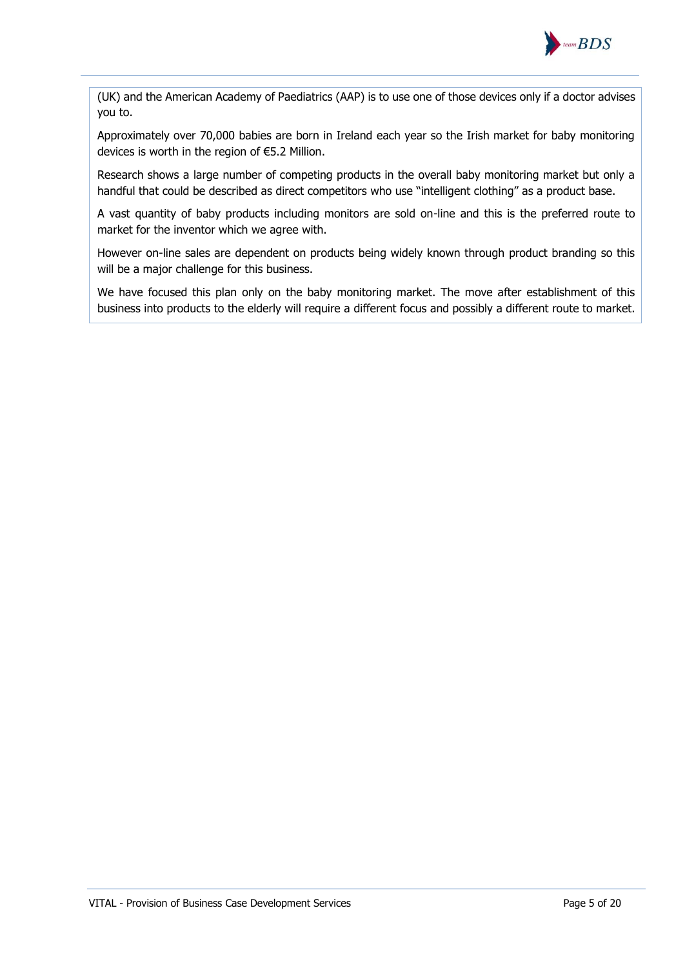

(UK) and the American Academy of Paediatrics (AAP) is to use one of those devices only if a doctor advises you to.

Approximately over 70,000 babies are born in Ireland each year so the Irish market for baby monitoring devices is worth in the region of €5.2 Million.

Research shows a large number of competing products in the overall baby monitoring market but only a handful that could be described as direct competitors who use "intelligent clothing" as a product base.

A vast quantity of baby products including monitors are sold on-line and this is the preferred route to market for the inventor which we agree with.

However on-line sales are dependent on products being widely known through product branding so this will be a major challenge for this business.

We have focused this plan only on the baby monitoring market. The move after establishment of this business into products to the elderly will require a different focus and possibly a different route to market.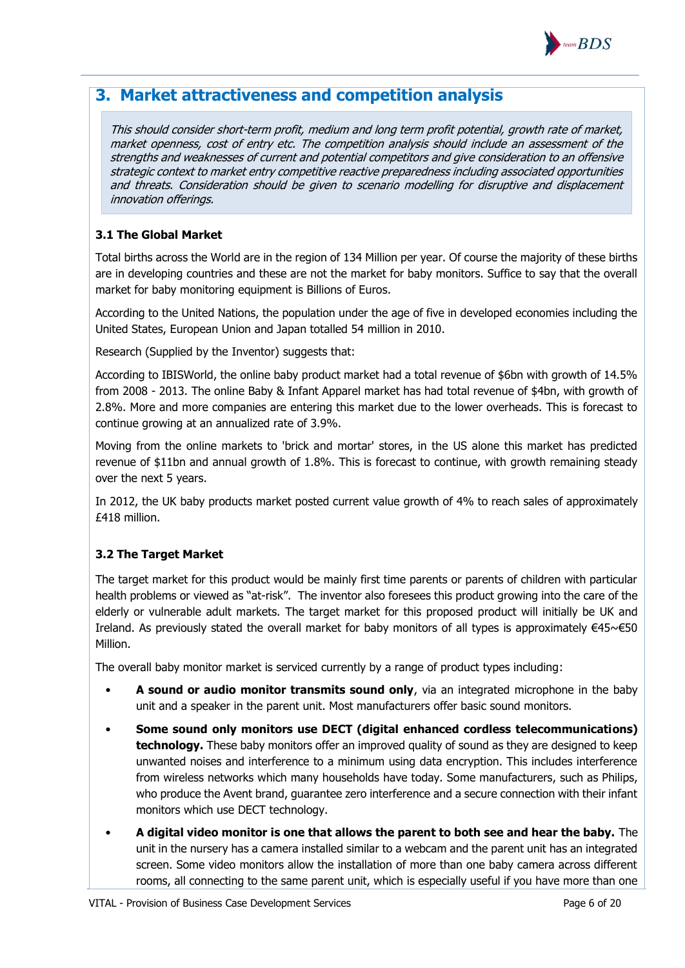

## **3. Market attractiveness and competition analysis**

This should consider short-term profit, medium and long term profit potential, growth rate of market, market openness, cost of entry etc. The competition analysis should include an assessment of the strengths and weaknesses of current and potential competitors and give consideration to an offensive strategic context to market entry competitive reactive preparedness including associated opportunities and threats. Consideration should be given to scenario modelling for disruptive and displacement innovation offerings.

#### **3.1 The Global Market**

Total births across the World are in the region of 134 Million per year. Of course the majority of these births are in developing countries and these are not the market for baby monitors. Suffice to say that the overall market for baby monitoring equipment is Billions of Euros.

According to the United Nations, the population under the age of five in developed economies including the United States, European Union and Japan totalled 54 million in 2010.

Research (Supplied by the Inventor) suggests that:

According to IBISWorld, the online baby product market had a total revenue of \$6bn with growth of 14.5% from 2008 - 2013. The online Baby & Infant Apparel market has had total revenue of \$4bn, with growth of 2.8%. More and more companies are entering this market due to the lower overheads. This is forecast to continue growing at an annualized rate of 3.9%.

Moving from the online markets to 'brick and mortar' stores, in the US alone this market has predicted revenue of \$11bn and annual growth of 1.8%. This is forecast to continue, with growth remaining steady over the next 5 years.

In 2012, the UK baby products market posted current value growth of 4% to reach sales of approximately £418 million.

#### **3.2 The Target Market**

The target market for this product would be mainly first time parents or parents of children with particular health problems or viewed as "at-risk". The inventor also foresees this product growing into the care of the elderly or vulnerable adult markets. The target market for this proposed product will initially be UK and Ireland. As previously stated the overall market for baby monitors of all types is approximately €45~€50 Million.

The overall baby monitor market is serviced currently by a range of product types including:

- **A sound or audio monitor transmits sound only**, via an integrated microphone in the baby unit and a speaker in the parent unit. Most manufacturers offer basic sound monitors.
- **Some sound only monitors use DECT (digital enhanced cordless telecommunications) technology.** These baby monitors offer an improved quality of sound as they are designed to keep unwanted noises and interference to a minimum using data encryption. This includes interference from wireless networks which many households have today. Some manufacturers, such as Philips, who produce the Avent brand, guarantee zero interference and a secure connection with their infant monitors which use DECT technology.
- **A digital video monitor is one that allows the parent to both see and hear the baby.** The unit in the nursery has a camera installed similar to a webcam and the parent unit has an integrated screen. Some video monitors allow the installation of more than one baby camera across different rooms, all connecting to the same parent unit, which is especially useful if you have more than one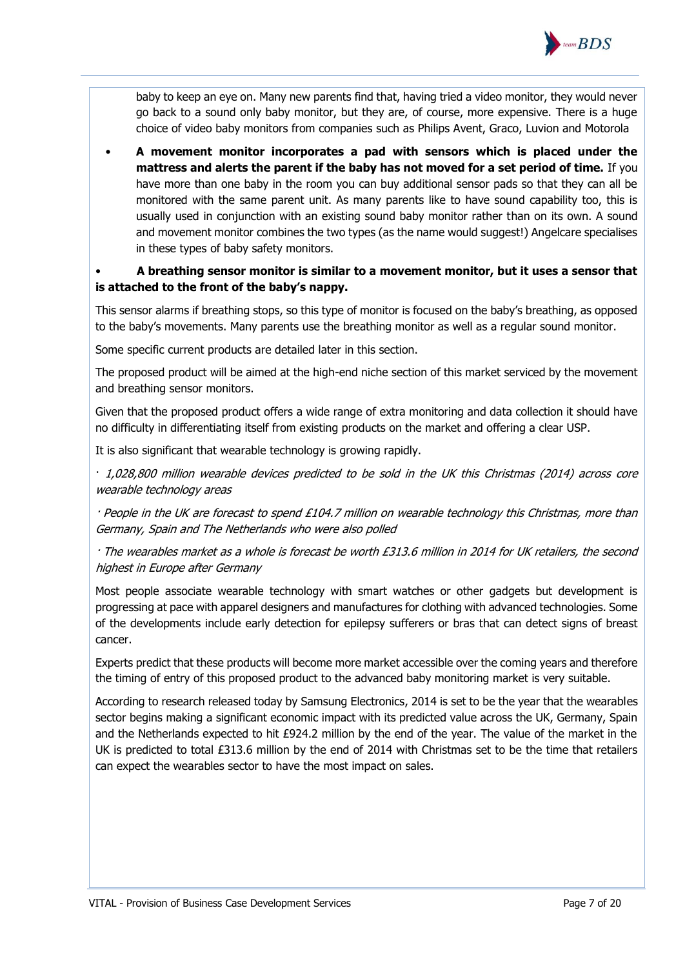

baby to keep an eye on. Many new parents find that, having tried a video monitor, they would never go back to a sound only baby monitor, but they are, of course, more expensive. There is a huge choice of video baby monitors from companies such as Philips Avent, Graco, Luvion and Motorola

• **A movement monitor incorporates a pad with sensors which is placed under the mattress and alerts the parent if the baby has not moved for a set period of time.** If you have more than one baby in the room you can buy additional sensor pads so that they can all be monitored with the same parent unit. As many parents like to have sound capability too, this is usually used in conjunction with an existing sound baby monitor rather than on its own. A sound and movement monitor combines the two types (as the name would suggest!) Angelcare specialises in these types of baby safety monitors.

#### • **A breathing sensor monitor is similar to a movement monitor, but it uses a sensor that is attached to the front of the baby's nappy.**

This sensor alarms if breathing stops, so this type of monitor is focused on the baby's breathing, as opposed to the baby's movements. Many parents use the breathing monitor as well as a regular sound monitor.

Some specific current products are detailed later in this section.

The proposed product will be aimed at the high-end niche section of this market serviced by the movement and breathing sensor monitors.

Given that the proposed product offers a wide range of extra monitoring and data collection it should have no difficulty in differentiating itself from existing products on the market and offering a clear USP.

It is also significant that wearable technology is growing rapidly.

· 1,028,800 million wearable devices predicted to be sold in the UK this Christmas (2014) across core wearable technology areas

· People in the UK are forecast to spend £104.7 million on wearable technology this Christmas, more than Germany, Spain and The Netherlands who were also polled

· The wearables market as a whole is forecast be worth £313.6 million in 2014 for UK retailers, the second highest in Europe after Germany

Most people associate wearable technology with smart watches or other gadgets but development is progressing at pace with apparel designers and manufactures for clothing with advanced technologies. Some of the developments include early detection for epilepsy sufferers or bras that can detect signs of breast cancer.

Experts predict that these products will become more market accessible over the coming years and therefore the timing of entry of this proposed product to the advanced baby monitoring market is very suitable.

According to research released today by Samsung Electronics, 2014 is set to be the year that the wearables sector begins making a significant economic impact with its predicted value across the UK, Germany, Spain and the Netherlands expected to hit £924.2 million by the end of the year. The value of the market in the UK is predicted to total £313.6 million by the end of 2014 with Christmas set to be the time that retailers can expect the wearables sector to have the most impact on sales.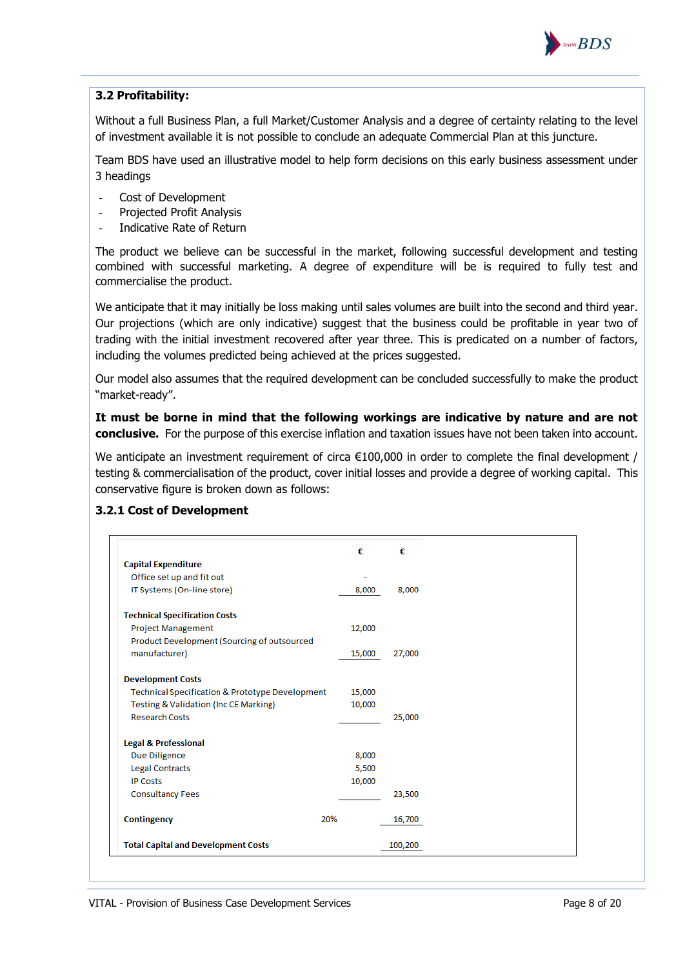

#### **3.2 Profitability:**

Without a full Business Plan, a full Market/Customer Analysis and a degree of certainty relating to the level of investment available it is not possible to conclude an adequate Commercial Plan at this juncture.

Team BDS have used an illustrative model to help form decisions on this early business assessment under 3 headings

- Cost of Development
- Projected Profit Analysis
- Indicative Rate of Return

The product we believe can be successful in the market, following successful development and testing combined with successful marketing. A degree of expenditure will be is required to fully test and commercialise the product.

We anticipate that it may initially be loss making until sales volumes are built into the second and third year. Our projections (which are only indicative) suggest that the business could be profitable in year two of trading with the initial investment recovered after year three. This is predicated on a number of factors, including the volumes predicted being achieved at the prices suggested.

Our model also assumes that the required development can be concluded successfully to make the product "market-ready".

**It must be borne in mind that the following workings are indicative by nature and are not conclusive.** For the purpose of this exercise inflation and taxation issues have not been taken into account.

We anticipate an investment requirement of circa €100,000 in order to complete the final development / testing & commercialisation of the product, cover initial losses and provide a degree of working capital. This conservative figure is broken down as follows:

|                                                 | €      | €       |
|-------------------------------------------------|--------|---------|
| <b>Capital Expenditure</b>                      |        |         |
| Office set up and fit out                       |        |         |
| IT Systems (On-line store)                      | 8,000  | 8,000   |
| <b>Technical Specification Costs</b>            |        |         |
| <b>Project Management</b>                       | 12,000 |         |
| Product Development (Sourcing of outsourced     |        |         |
| manufacturer)                                   | 15,000 | 27,000  |
| <b>Development Costs</b>                        |        |         |
| Technical Specification & Prototype Development | 15,000 |         |
| Testing & Validation (Inc CE Marking)           | 10,000 |         |
| <b>Research Costs</b>                           |        | 25,000  |
| <b>Legal &amp; Professional</b>                 |        |         |
| Due Diligence                                   | 8,000  |         |
| <b>Legal Contracts</b>                          | 5,500  |         |
| <b>IP Costs</b>                                 | 10,000 |         |
| <b>Consultancy Fees</b>                         |        | 23,500  |
| Contingency<br>20%                              |        | 16,700  |
| <b>Total Capital and Development Costs</b>      |        | 100,200 |

#### **3.2.1 Cost of Development**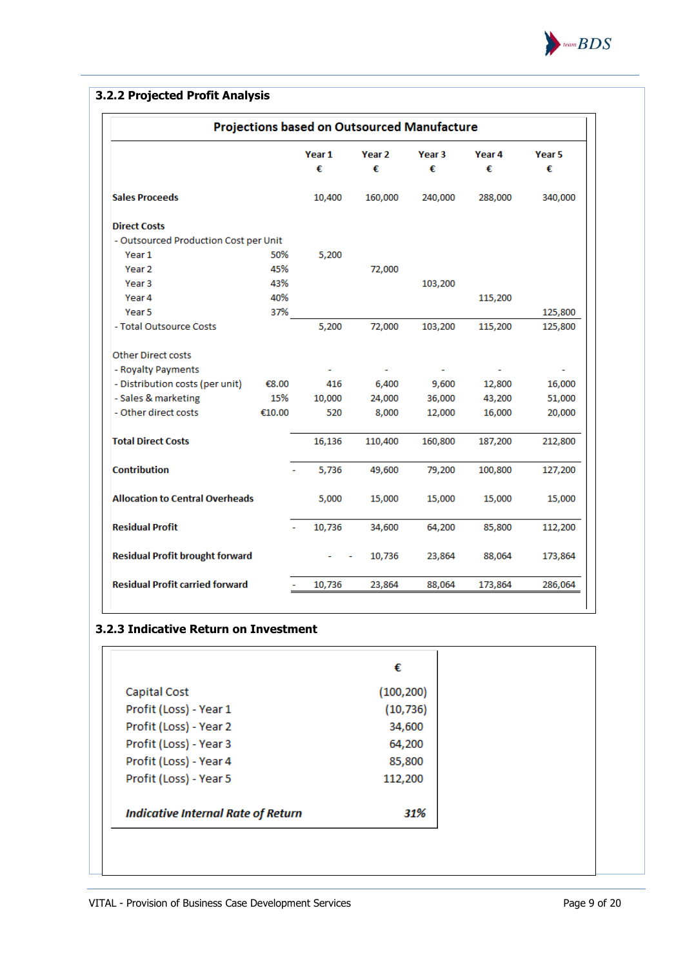

### **3.2.2 Projected Profit Analysis**

|                                        |        |             | <b>Projections based on Outsourced Manufacture</b> |             |             |                        |
|----------------------------------------|--------|-------------|----------------------------------------------------|-------------|-------------|------------------------|
|                                        |        | Year 1<br>€ | Year 2<br>€                                        | Year 3<br>€ | Year 4<br>€ | Year <sub>5</sub><br>€ |
| <b>Sales Proceeds</b>                  |        | 10,400      | 160,000                                            | 240,000     | 288,000     | 340,000                |
| <b>Direct Costs</b>                    |        |             |                                                    |             |             |                        |
| - Outsourced Production Cost per Unit  |        |             |                                                    |             |             |                        |
| Year 1                                 | 50%    | 5,200       |                                                    |             |             |                        |
| Year <sub>2</sub>                      | 45%    |             | 72,000                                             |             |             |                        |
| Year <sub>3</sub>                      | 43%    |             |                                                    | 103,200     |             |                        |
| Year 4                                 | 40%    |             |                                                    |             | 115,200     |                        |
| Year 5                                 | 37%    |             |                                                    |             |             | 125,800                |
| - Total Outsource Costs                |        | 5,200       | 72,000                                             | 103,200     | 115,200     | 125,800                |
| <b>Other Direct costs</b>              |        |             |                                                    |             |             |                        |
| - Royalty Payments                     |        | ٠           | Ξ                                                  |             |             |                        |
| - Distribution costs (per unit)        | €8.00  | 416         | 6,400                                              | 9,600       | 12,800      | 16,000                 |
| - Sales & marketing                    | 15%    | 10,000      | 24,000                                             | 36,000      | 43,200      | 51,000                 |
| - Other direct costs                   | €10.00 | 520         | 8,000                                              | 12,000      | 16,000      | 20,000                 |
| <b>Total Direct Costs</b>              |        | 16,136      | 110,400                                            | 160,800     | 187,200     | 212,800                |
| <b>Contribution</b>                    |        | 5,736       | 49,600                                             | 79,200      | 100,800     | 127,200                |
| <b>Allocation to Central Overheads</b> |        | 5,000       | 15,000                                             | 15,000      | 15,000      | 15,000                 |
| <b>Residual Profit</b>                 |        | 10,736      | 34,600                                             | 64,200      | 85,800      | 112,200                |
| <b>Residual Profit brought forward</b> |        |             | 10,736                                             | 23,864      | 88,064      | 173,864                |
| <b>Residual Profit carried forward</b> |        | 10,736      | 23,864                                             | 88,064      | 173,864     | 286,064                |

#### **3.2.3 Indicative Return on Investment**

|                                           | €          |
|-------------------------------------------|------------|
| Capital Cost                              | (100, 200) |
| Profit (Loss) - Year 1                    | (10, 736)  |
| Profit (Loss) - Year 2                    | 34,600     |
| Profit (Loss) - Year 3                    | 64,200     |
| Profit (Loss) - Year 4                    | 85,800     |
| Profit (Loss) - Year 5                    | 112,200    |
| <b>Indicative Internal Rate of Return</b> | 31%        |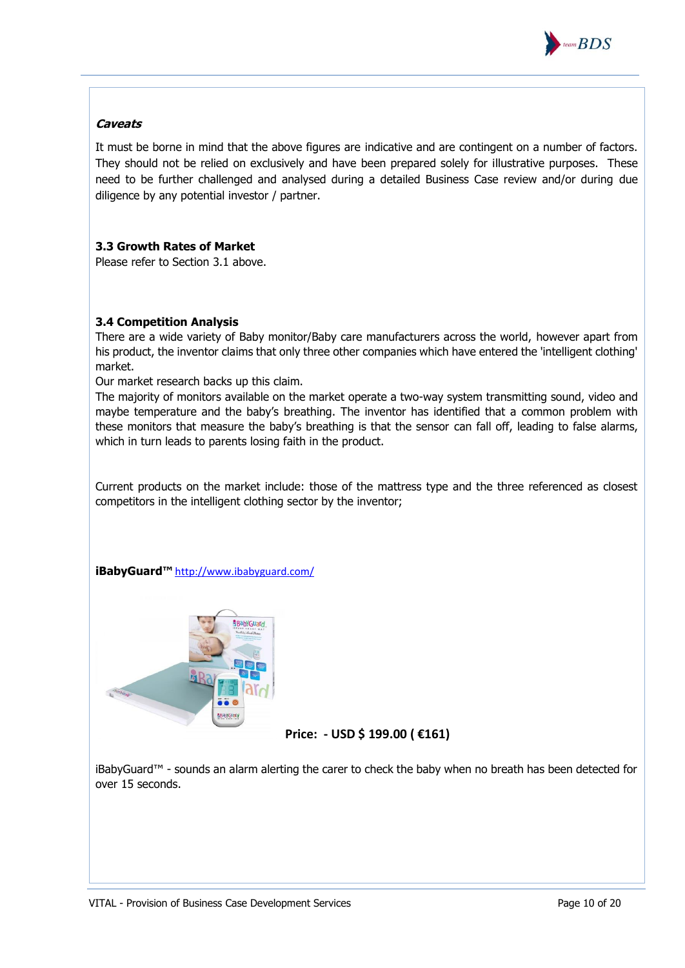

#### **Caveats**

It must be borne in mind that the above figures are indicative and are contingent on a number of factors. They should not be relied on exclusively and have been prepared solely for illustrative purposes. These need to be further challenged and analysed during a detailed Business Case review and/or during due diligence by any potential investor / partner.

#### **3.3 Growth Rates of Market**

Please refer to Section 3.1 above.

#### **3.4 Competition Analysis**

There are a wide variety of Baby monitor/Baby care manufacturers across the world, however apart from his product, the inventor claims that only three other companies which have entered the 'intelligent clothing' market.

Our market research backs up this claim.

The majority of monitors available on the market operate a two-way system transmitting sound, video and maybe temperature and the baby's breathing. The inventor has identified that a common problem with these monitors that measure the baby's breathing is that the sensor can fall off, leading to false alarms, which in turn leads to parents losing faith in the product.

Current products on the market include: those of the mattress type and the three referenced as closest competitors in the intelligent clothing sector by the inventor;

**iBabyGuard™** <http://www.ibabyguard.com/>



#### **Price: - USD \$ 199.00 ( €161)**

iBabyGuard™ - sounds an alarm alerting the carer to check the baby when no breath has been detected for over 15 seconds.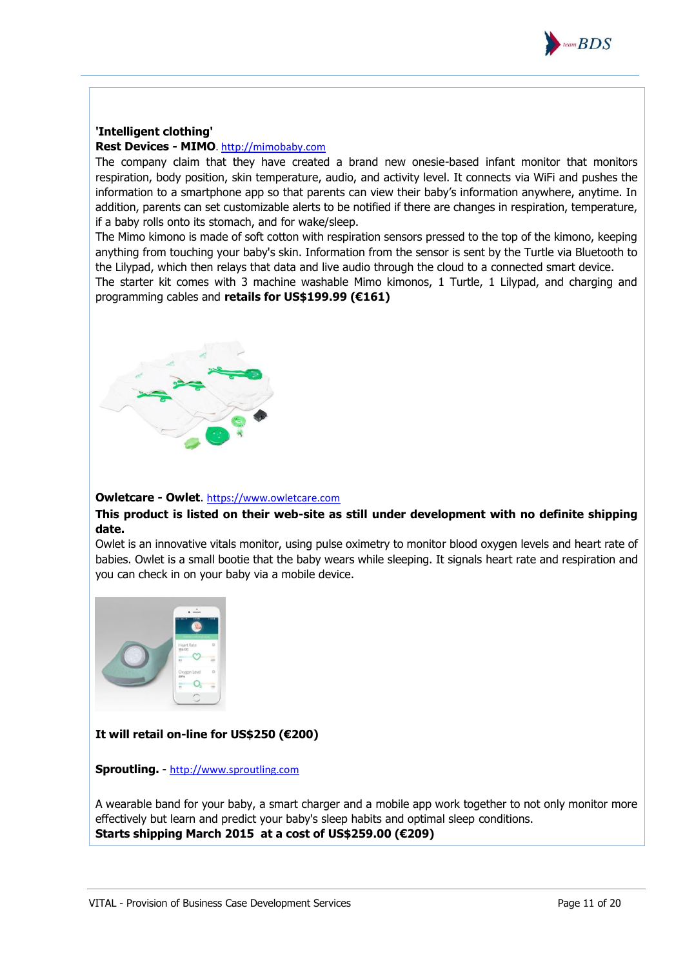

#### **'Intelligent clothing' Rest Devices - MIMO**[. http://mimobaby.com](http://mimobaby.com/)

The company claim that they have created a brand new onesie-based infant monitor that monitors respiration, body position, skin temperature, audio, and activity level. It connects via WiFi and pushes the information to a smartphone app so that parents can view their baby's information anywhere, anytime. In addition, parents can set customizable alerts to be notified if there are changes in respiration, temperature, if a baby rolls onto its stomach, and for wake/sleep.

The Mimo kimono is made of soft cotton with respiration sensors pressed to the top of the kimono, keeping anything from touching your baby's skin. Information from the sensor is sent by the Turtle via Bluetooth to the Lilypad, which then relays that data and live audio through the cloud to a connected smart device.

The starter kit comes with 3 machine washable Mimo kimonos, 1 Turtle, 1 Lilypad, and charging and programming cables and **retails for US\$199.99 (€161)**



#### **Owletcare - Owlet**. [https://www.owletcare.com](https://www.owletcare.com/)

#### **This product is listed on their web-site as still under development with no definite shipping date.**

Owlet is an innovative vitals monitor, using pulse oximetry to monitor blood oxygen levels and heart rate of babies. Owlet is a small bootie that the baby wears while sleeping. It signals heart rate and respiration and you can check in on your baby via a mobile device.



**It will retail on-line for US\$250 (€200)**

**Sproutling.** - [http://www.sproutling.com](http://www.sproutling.com/)

A wearable band for your baby, a smart charger and a mobile app work together to not only monitor more effectively but learn and predict your baby's sleep habits and optimal sleep conditions. **Starts shipping March 2015 at a cost of US\$259.00 (€209)**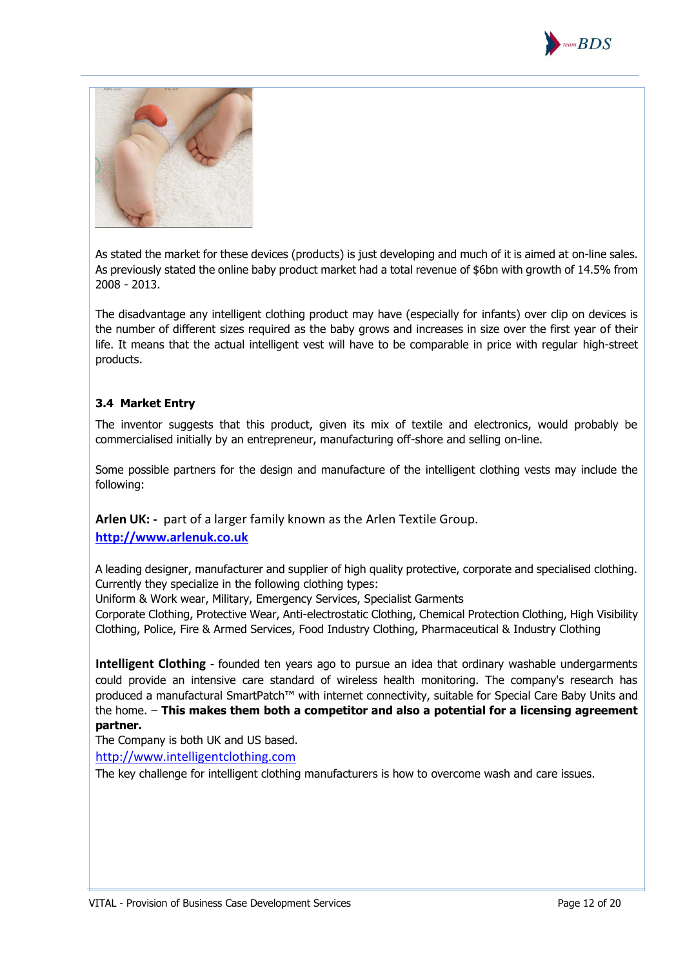



As stated the market for these devices (products) is just developing and much of it is aimed at on-line sales. As previously stated the online baby product market had a total revenue of \$6bn with growth of 14.5% from 2008 - 2013.

The disadvantage any intelligent clothing product may have (especially for infants) over clip on devices is the number of different sizes required as the baby grows and increases in size over the first year of their life. It means that the actual intelligent vest will have to be comparable in price with regular high-street products.

#### **3.4 Market Entry**

The inventor suggests that this product, given its mix of textile and electronics, would probably be commercialised initially by an entrepreneur, manufacturing off-shore and selling on-line.

Some possible partners for the design and manufacture of the intelligent clothing vests may include the following:

**Arlen UK: -** part of a larger family known as the Arlen Textile Group.

**[http://www.arlenuk.co.uk](http://www.arlenuk.co.uk/)**

A leading designer, manufacturer and supplier of high quality protective, corporate and specialised clothing. Currently they specialize in the following clothing types:

Uniform & Work wear, Military, Emergency Services, Specialist Garments

Corporate Clothing, Protective Wear, Anti-electrostatic Clothing, Chemical Protection Clothing, High Visibility Clothing, Police, Fire & Armed Services, Food Industry Clothing, Pharmaceutical & Industry Clothing

**Intelligent Clothing** - founded ten years ago to pursue an idea that ordinary washable undergarments could provide an intensive care standard of wireless health monitoring. The company's research has produced a manufactural SmartPatch™ with internet connectivity, suitable for Special Care Baby Units and the home. – **This makes them both a competitor and also a potential for a licensing agreement partner.**

The Company is both UK and US based.

[http://www.intelligentclothing.com](http://www.intelligentclothing.com/)

The key challenge for intelligent clothing manufacturers is how to overcome wash and care issues.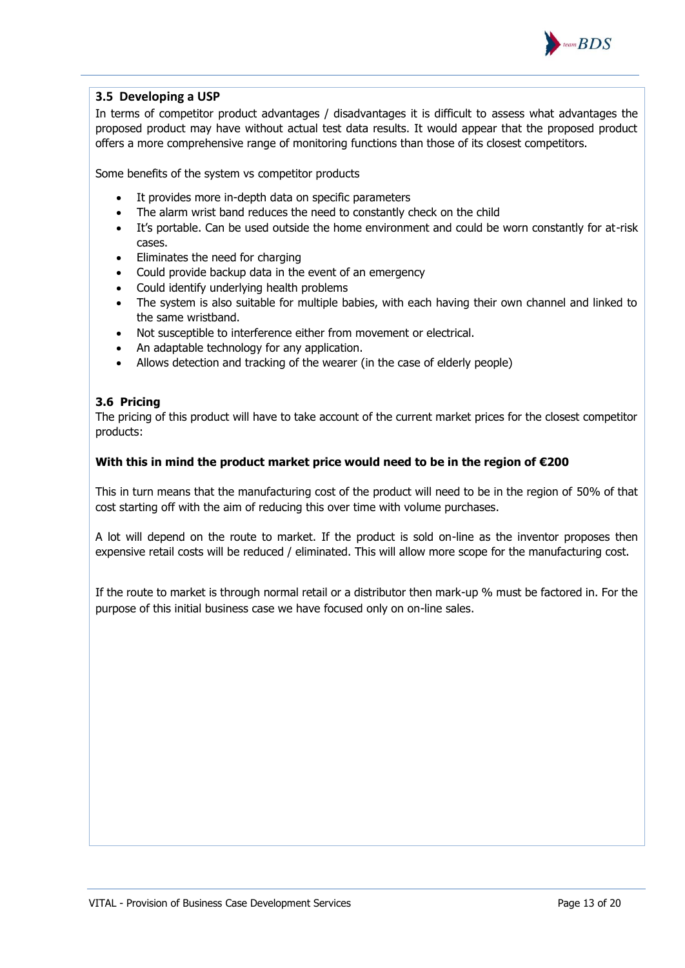

#### **3.5 Developing a USP**

In terms of competitor product advantages / disadvantages it is difficult to assess what advantages the proposed product may have without actual test data results. It would appear that the proposed product offers a more comprehensive range of monitoring functions than those of its closest competitors.

Some benefits of the system vs competitor products

- It provides more in-depth data on specific parameters
- The alarm wrist band reduces the need to constantly check on the child
- It's portable. Can be used outside the home environment and could be worn constantly for at-risk cases.
- Eliminates the need for charging
- Could provide backup data in the event of an emergency
- Could identify underlying health problems
- The system is also suitable for multiple babies, with each having their own channel and linked to the same wristband.
- Not susceptible to interference either from movement or electrical.
- An adaptable technology for any application.
- Allows detection and tracking of the wearer (in the case of elderly people)

#### **3.6 Pricing**

The pricing of this product will have to take account of the current market prices for the closest competitor products:

#### **With this in mind the product market price would need to be in the region of €200**

This in turn means that the manufacturing cost of the product will need to be in the region of 50% of that cost starting off with the aim of reducing this over time with volume purchases.

A lot will depend on the route to market. If the product is sold on-line as the inventor proposes then expensive retail costs will be reduced / eliminated. This will allow more scope for the manufacturing cost.

If the route to market is through normal retail or a distributor then mark-up % must be factored in. For the purpose of this initial business case we have focused only on on-line sales.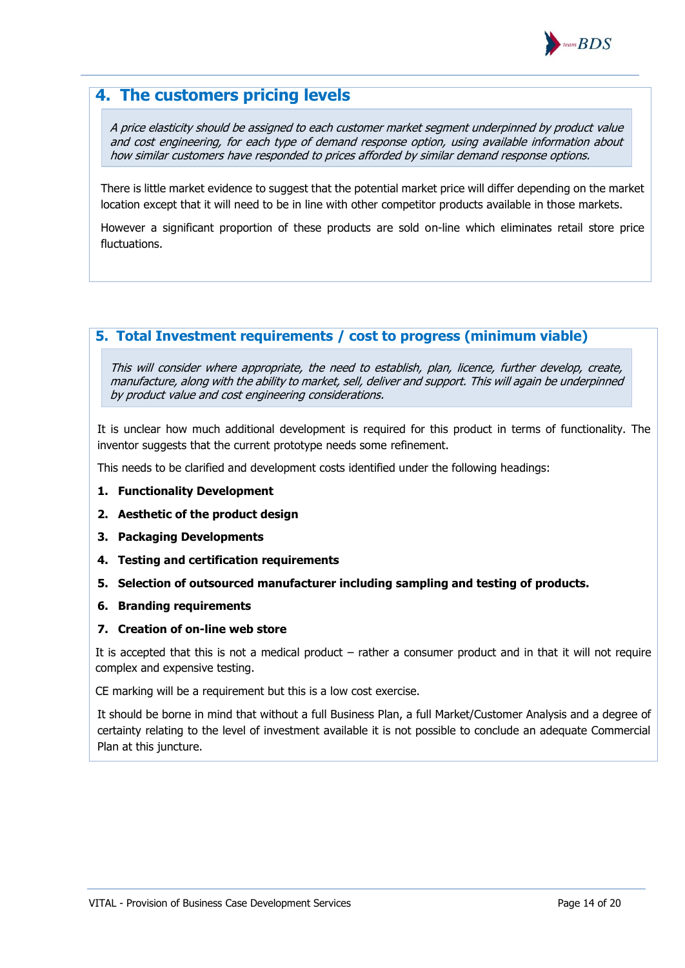

## **4. The customers pricing levels**

A price elasticity should be assigned to each customer market segment underpinned by product value and cost engineering, for each type of demand response option, using available information about how similar customers have responded to prices afforded by similar demand response options.

There is little market evidence to suggest that the potential market price will differ depending on the market location except that it will need to be in line with other competitor products available in those markets.

However a significant proportion of these products are sold on-line which eliminates retail store price fluctuations.

### **5. Total Investment requirements / cost to progress (minimum viable)**

This will consider where appropriate, the need to establish, plan, licence, further develop, create, manufacture, along with the ability to market, sell, deliver and support. This will again be underpinned by product value and cost engineering considerations.

It is unclear how much additional development is required for this product in terms of functionality. The inventor suggests that the current prototype needs some refinement.

This needs to be clarified and development costs identified under the following headings:

- **1. Functionality Development**
- **2. Aesthetic of the product design**
- **3. Packaging Developments**
- **4. Testing and certification requirements**
- **5. Selection of outsourced manufacturer including sampling and testing of products.**
- **6. Branding requirements**
- **7. Creation of on-line web store**

It is accepted that this is not a medical product – rather a consumer product and in that it will not require complex and expensive testing.

CE marking will be a requirement but this is a low cost exercise.

It should be borne in mind that without a full Business Plan, a full Market/Customer Analysis and a degree of certainty relating to the level of investment available it is not possible to conclude an adequate Commercial Plan at this juncture.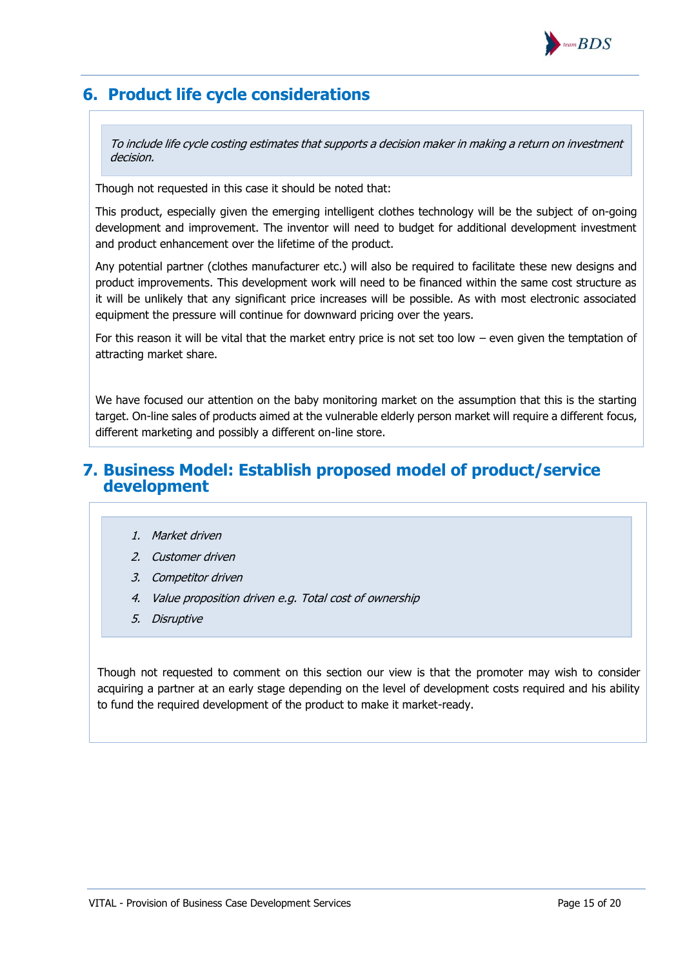

## **6. Product life cycle considerations**

To include life cycle costing estimates that supports a decision maker in making a return on investment decision.

Though not requested in this case it should be noted that:

This product, especially given the emerging intelligent clothes technology will be the subject of on-going development and improvement. The inventor will need to budget for additional development investment and product enhancement over the lifetime of the product.

Any potential partner (clothes manufacturer etc.) will also be required to facilitate these new designs and product improvements. This development work will need to be financed within the same cost structure as it will be unlikely that any significant price increases will be possible. As with most electronic associated equipment the pressure will continue for downward pricing over the years.

For this reason it will be vital that the market entry price is not set too low – even given the temptation of attracting market share.

We have focused our attention on the baby monitoring market on the assumption that this is the starting target. On-line sales of products aimed at the vulnerable elderly person market will require a different focus, different marketing and possibly a different on-line store.

### **7. Business Model: Establish proposed model of product/service development**

- 1. Market driven
- 2. Customer driven
- 3. Competitor driven
- 4. Value proposition driven e.g. Total cost of ownership
- 5. Disruptive

Though not requested to comment on this section our view is that the promoter may wish to consider acquiring a partner at an early stage depending on the level of development costs required and his ability to fund the required development of the product to make it market-ready.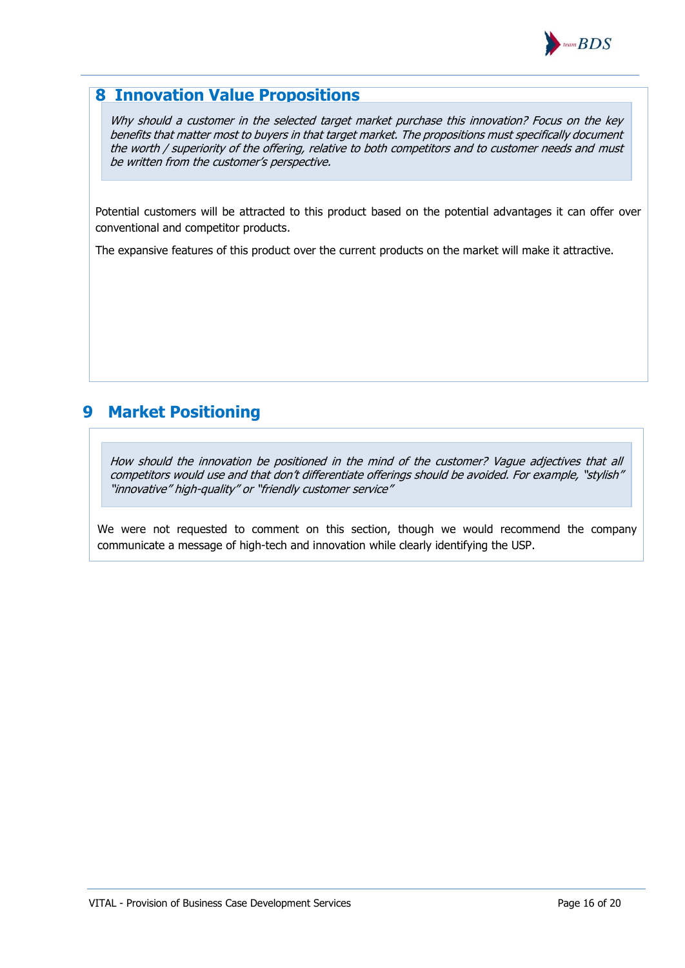

## **8 Innovation Value Propositions**

Why should a customer in the selected target market purchase this innovation? Focus on the key benefits that matter most to buyers in that target market. The propositions must specifically document the worth / superiority of the offering, relative to both competitors and to customer needs and must be written from the customer's perspective.

Potential customers will be attracted to this product based on the potential advantages it can offer over conventional and competitor products.

The expansive features of this product over the current products on the market will make it attractive.

## **9 Market Positioning**

How should the innovation be positioned in the mind of the customer? Vague adjectives that all competitors would use and that don't differentiate offerings should be avoided. For example, "stylish" "innovative" high-quality" or "friendly customer service"

We were not requested to comment on this section, though we would recommend the company communicate a message of high-tech and innovation while clearly identifying the USP.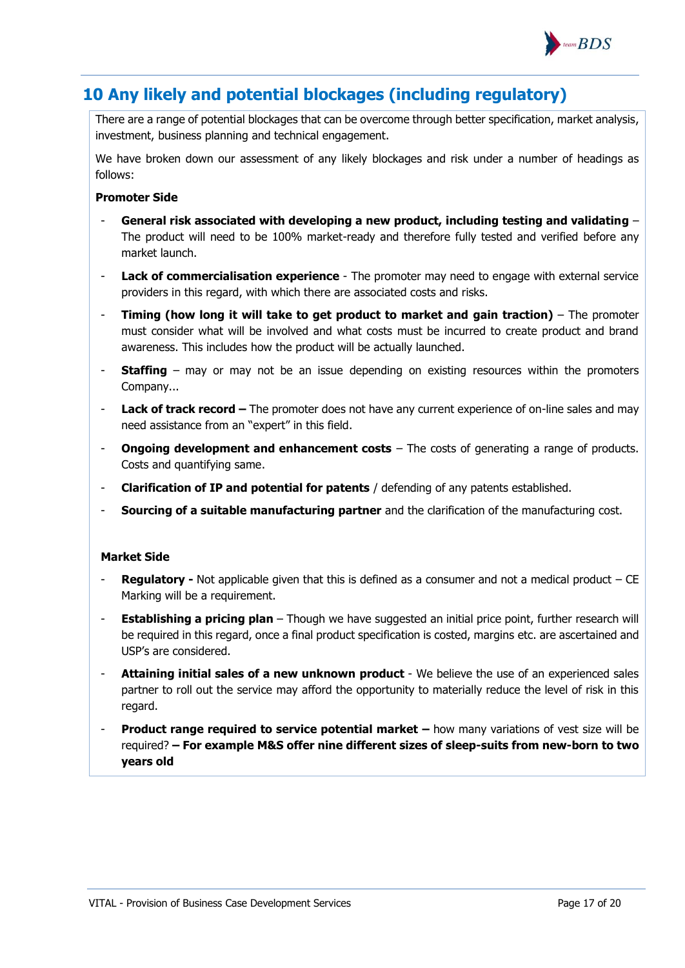

## **10 Any likely and potential blockages (including regulatory)**

There are a range of potential blockages that can be overcome through better specification, market analysis, investment, business planning and technical engagement.

We have broken down our assessment of any likely blockages and risk under a number of headings as follows:

#### **Promoter Side**

- **General risk associated with developing a new product, including testing and validating** The product will need to be 100% market-ready and therefore fully tested and verified before any market launch.
- **Lack of commercialisation experience** The promoter may need to engage with external service providers in this regard, with which there are associated costs and risks.
- **Timing (how long it will take to get product to market and gain traction) The promoter** must consider what will be involved and what costs must be incurred to create product and brand awareness. This includes how the product will be actually launched.
- **Staffing** may or may not be an issue depending on existing resources within the promoters Company...
- **Lack of track record –** The promoter does not have any current experience of on-line sales and may need assistance from an "expert" in this field.
- **Ongoing development and enhancement costs** The costs of generating a range of products. Costs and quantifying same.
- **Clarification of IP and potential for patents** / defending of any patents established.
- **Sourcing of a suitable manufacturing partner** and the clarification of the manufacturing cost.

#### **Market Side**

- **Regulatory -** Not applicable given that this is defined as a consumer and not a medical product  $-$  CE Marking will be a requirement.
- **Establishing a pricing plan** Though we have suggested an initial price point, further research will be required in this regard, once a final product specification is costed, margins etc. are ascertained and USP's are considered.
- **Attaining initial sales of a new unknown product**  We believe the use of an experienced sales partner to roll out the service may afford the opportunity to materially reduce the level of risk in this regard.
- **Product range required to service potential market how many variations of vest size will be** required? **– For example M&S offer nine different sizes of sleep-suits from new-born to two years old**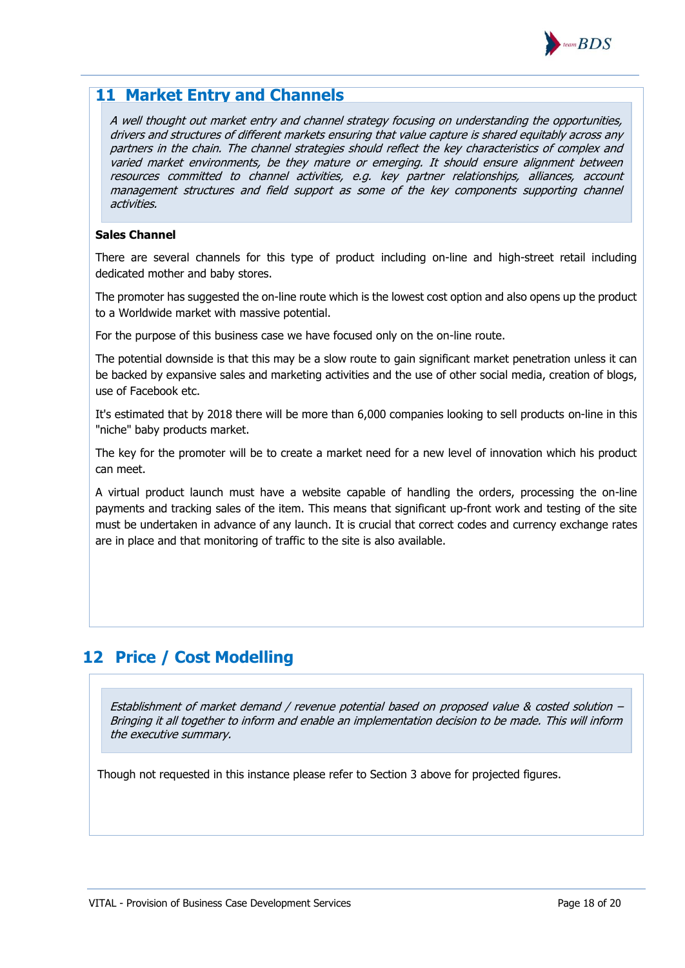

## **11 Market Entry and Channels**

A well thought out market entry and channel strategy focusing on understanding the opportunities, drivers and structures of different markets ensuring that value capture is shared equitably across any partners in the chain. The channel strategies should reflect the key characteristics of complex and varied market environments, be they mature or emerging. It should ensure alignment between resources committed to channel activities, e.g. key partner relationships, alliances, account management structures and field support as some of the key components supporting channel activities.

#### **Sales Channel**

There are several channels for this type of product including on-line and high-street retail including dedicated mother and baby stores.

The promoter has suggested the on-line route which is the lowest cost option and also opens up the product to a Worldwide market with massive potential.

For the purpose of this business case we have focused only on the on-line route.

The potential downside is that this may be a slow route to gain significant market penetration unless it can be backed by expansive sales and marketing activities and the use of other social media, creation of blogs, use of Facebook etc.

It's estimated that by 2018 there will be more than 6,000 companies looking to sell products on-line in this "niche" baby products market.

The key for the promoter will be to create a market need for a new level of innovation which his product can meet.

A virtual product launch must have a website capable of handling the orders, processing the on-line payments and tracking sales of the item. This means that significant up-front work and testing of the site must be undertaken in advance of any launch. It is crucial that correct codes and currency exchange rates are in place and that monitoring of traffic to the site is also available.

## **12 Price / Cost Modelling**

Establishment of market demand / revenue potential based on proposed value & costed solution – Bringing it all together to inform and enable an implementation decision to be made. This will inform the executive summary.

Though not requested in this instance please refer to Section 3 above for projected figures.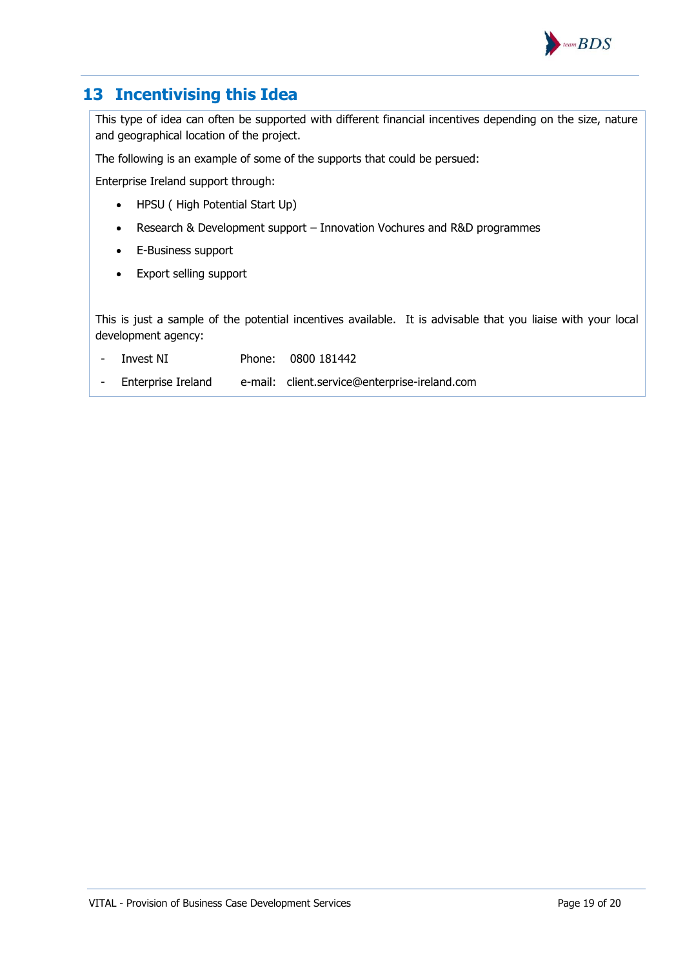

## **13 Incentivising this Idea**

This type of idea can often be supported with different financial incentives depending on the size, nature and geographical location of the project.

The following is an example of some of the supports that could be persued:

Enterprise Ireland support through:

- HPSU ( High Potential Start Up)
- Research & Development support Innovation Vochures and R&D programmes
- E-Business support
- Export selling support

This is just a sample of the potential incentives available. It is advisable that you liaise with your local development agency:

- Invest NI Phone: 0800 181442
- Enterprise Ireland e-mail: client.service@enterprise-ireland.com